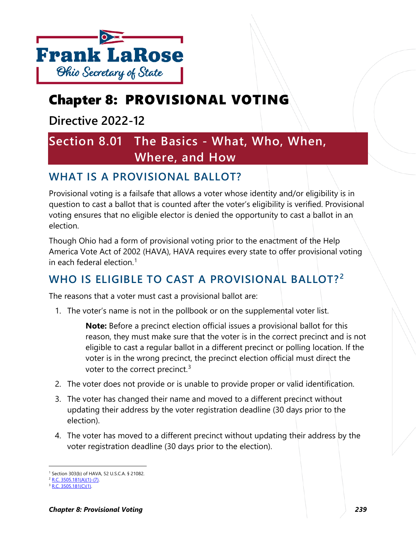

# Chapter 8: PROVISIONAL VOTING

**Directive 2022-12**

# **Section 8.01 The Basics - What, Who, When, Where, and How**

## **WHAT IS A PROVISIONAL BALLOT?**

Provisional voting is a failsafe that allows a voter whose identity and/or eligibility is in question to cast a ballot that is counted after the voter's eligibility is verified. Provisional voting ensures that no eligible elector is denied the opportunity to cast a ballot in an election.

Though Ohio had a form of provisional voting prior to the enactment of the Help America Vote Act of 2002 (HAVA), HAVA requires every state to offer provisional voting in each federal election.[1](#page-0-0)

# **WHO IS ELIGIBLE TO CAST A PROVISIONAL BALLOT? [2](#page-0-1)**

The reasons that a voter must cast a provisional ballot are:

1. The voter's name is not in the pollbook or on the supplemental voter list.

**Note:** Before a precinct election official issues a provisional ballot for this reason, they must make sure that the voter is in the correct precinct and is not eligible to cast a regular ballot in a different precinct or polling location. If the voter is in the wrong precinct, the precinct election official must direct the voter to the correct precinct.<sup>[3](#page-0-2)</sup>

- 2. The voter does not provide or is unable to provide proper or valid identification.
- 3. The voter has changed their name and moved to a different precinct without updating their address by the voter registration deadline (30 days prior to the election).
- 4. The voter has moved to a different precinct without updating their address by the voter registration deadline (30 days prior to the election).

<span id="page-0-0"></span><sup>1</sup> Section 303(b) of HAVA, 52 U.S.C.A. § 21082.

<span id="page-0-1"></span><sup>2</sup> [R.C. 3505.181\(A\)\(1\)-\(7\).](http://codes.ohio.gov/orc/3505.181)

<span id="page-0-2"></span>[R.C. 3505.181\(C\)\(1\).](http://codes.ohio.gov/orc/3505.181)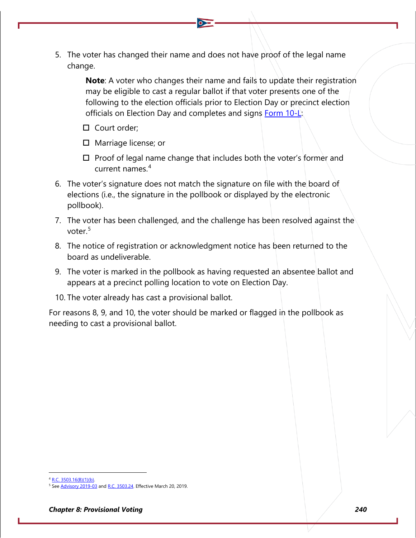5. The voter has changed their name and does not have proof of the legal name change.

> **Note**: A voter who changes their name and fails to update their registration may be eligible to cast a regular ballot if that voter presents one of the following to the election officials prior to Election Day or precinct election officials on Election Day and completes and signs Form  $10-\frac{1}{2}$ .

- □ Court order:
- $\Box$  Marriage license; or
- $\Box$  Proof of legal name change that includes both the voter's former and current names.[4](#page-1-0)
- 6. The voter's signature does not match the signature on file with the board of elections (i.e., the signature in the pollbook or displayed by the electronic pollbook).
- 7. The voter has been challenged, and the challenge has been resolved against the voter.<sup>[5](#page-1-1)</sup>
- 8. The notice of registration or acknowledgment notice has been returned to the board as undeliverable.
- 9. The voter is marked in the pollbook as having requested an absentee ballot and appears at a precinct polling location to vote on Election Day.
- 10. The voter already has cast a provisional ballot.

For reasons 8, 9, and 10, the voter should be marked or flagged in the pollbook as needing to cast a provisional ballot.

<span id="page-1-0"></span><sup>4</sup> [R.C. 3503.16\(B\)\(1\)\(b\).](http://codes.ohio.gov/orc/3503.16)

<span id="page-1-1"></span>Se[e Advisory 2019-03](https://www.sos.state.oh.us/globalassets/elections/advisories/2019/adv2019-03.pdf) an[d R.C. 3503.24.](http://codes.ohio.gov/orc/3503.24) Effective March 20, 2019.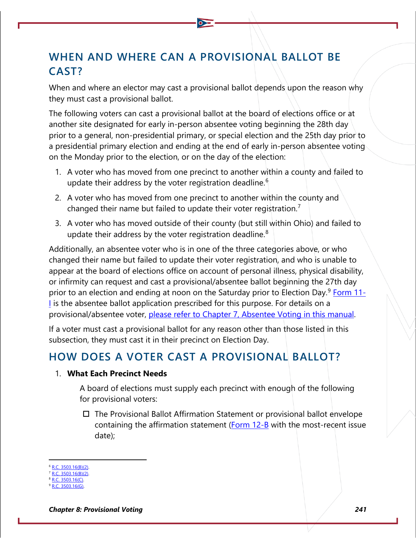## **WHEN AND WHERE CAN A PROVISIONAL BALLOT BE CAST?**

When and where an elector may cast a provisional ballot depends upon the reason why they must cast a provisional ballot.

The following voters can cast a provisional ballot at the board of elections office or at another site designated for early in-person absentee voting beginning the 28th day prior to a general, non-presidential primary, or special election and the 25th day prior to a presidential primary election and ending at the end of early in-person absentee voting on the Monday prior to the election, or on the day of the election:

- 1. A voter who has moved from one precinct to another within a county and failed to update their address by the voter registration deadline.<sup>[6](#page-2-0)</sup>
- 2. A voter who has moved from one precinct to another within the county and changed their name but failed to update their voter registration.<sup>[7](#page-2-1)</sup>
- 3. A voter who has moved outside of their county (but still within Ohio) and failed to update their address by the voter registration deadline. $8$

Additionally, an absentee voter who is in one of the three categories above, or who changed their name but failed to update their voter registration, and who is unable to appear at the board of elections office on account of personal illness, physical disability, or infirmity can request and cast a provisional/absentee ballot beginning the 27th day prior to an election and ending at noon on the Saturday prior to Election Day.<sup>[9](#page-2-3)</sup> [Form 11-](https://www.sos.state.oh.us/globalassets/elections/forms/11-i.pdf) [I](https://www.sos.state.oh.us/globalassets/elections/forms/11-i.pdf) is the absentee ballot application prescribed for this purpose. For details on a provisional/absentee voter, please refer to Chapter 7, Absentee Voting in this manual.

If a voter must cast a provisional ballot for any reason other than those listed in this subsection, they must cast it in their precinct on Election Day.

## **HOW DOES A VOTER CAST A PROVISIONAL BALLOT?**

#### 1. **What Each Precinct Needs**

A board of elections must supply each precinct with enough of the following for provisional voters:

 $\Box$  The Provisional Ballot Affirmation Statement or provisional ballot envelope containing the affirmation statement ( $Form 12-B$  with the most-recent issue date);

<span id="page-2-0"></span><sup>6</sup> [R.C. 3503.16\(B\)\(2\).](http://codes.ohio.gov/orc/3503.16)

<span id="page-2-1"></span>[R.C. 3503.16\(B\)\(2\).](http://codes.ohio.gov/orc/3503.16)  $3503.16(0)$ 

<span id="page-2-3"></span><span id="page-2-2"></span><sup>3503.16(</sup>G)

*Chapter 8: Provisional Voting 241*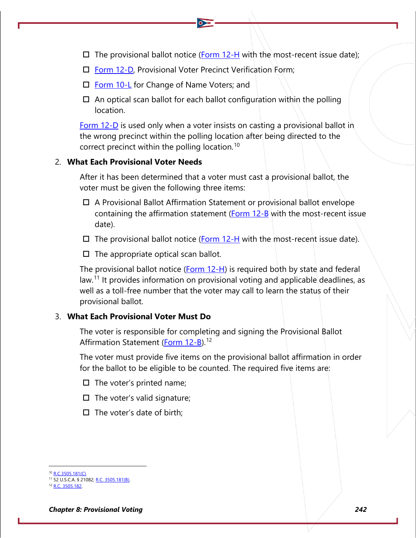- $\Box$  The provisional ballot notice [\(Form 12-H](https://www.ohiosos.gov/globalassets/elections/forms/2020/12-h_bilingual.pdf) with the most-recent issue date);
- $\Box$  [Form 12-D,](https://www.ohiosos.gov/globalassets/elections/forms/12-D.pdf) Provisional Voter Precinct Verification Form;
- □ [Form 10-L](https://www.ohiosos.gov/globalassets/elections/forms/10-L.pdf) for Change of Name Voters; and
- $\Box$  An optical scan ballot for each ballot configuration within the polling location.

[Form 12-D](https://www.ohiosos.gov/globalassets/elections/forms/12-D.pdf) is used only when a voter insists on casting a provisional ballot in the wrong precinct within the polling location after being directed to the correct precinct within the polling location.<sup>[10](#page-3-0)</sup>

#### 2. **What Each Provisional Voter Needs**

After it has been determined that a voter must cast a provisional ballot, the voter must be given the following three items:

- A Provisional Ballot Affirmation Statement or provisional ballot envelope containing the affirmation statement ( $Form 12-B$  with the most-recent issue date).
- $\Box$  The provisional ballot notice [\(Form 12-H](https://www.ohiosos.gov/globalassets/elections/forms/2020/12-h_bilingual.pdf) with the most-recent issue date).
- $\Box$  The appropriate optical scan ballot.

The provisional ballot notice [\(Form 12-H\)](https://www.ohiosos.gov/globalassets/elections/forms/2020/12-h_bilingual.pdf) is required both by state and federal law.<sup>[11](#page-3-1)</sup> It provides information on provisional voting and applicable deadlines, as well as a toll-free number that the voter may call to learn the status of their provisional ballot.

#### 3. **What Each Provisional Voter Must Do**

The voter is responsible for completing and signing the Provisional Ballot Affirmation Statement [\(Form 12-B\)](https://www.ohiosos.gov/globalassets/elections/forms/12-b_english.pdf).<sup>[12](#page-3-2)</sup>

The voter must provide five items on the provisional ballot affirmation in order for the ballot to be eligible to be counted. The required five items are:

- $\Box$  The voter's printed name;
- $\Box$  The voter's valid signature;
- $\Box$  The voter's date of birth;

<span id="page-3-1"></span><span id="page-3-0"></span><sup>&</sup>lt;sup>0</sup> [R.C.3505.181\(C\).](http://codes.ohio.gov/orc/3505.181)

<sup>11</sup> 52 U.S.C.A. § 21082; [R.C. 3505.181\(B\).](http://codes.ohio.gov/orc/3505.181)  $C. 3505.182.$ 

<span id="page-3-2"></span>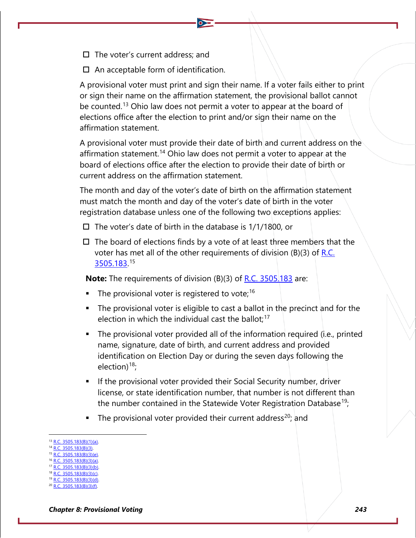- $\square$  The voter's current address; and
- $\Box$  An acceptable form of identification.

A provisional voter must print and sign their name. If a voter fails either to print or sign their name on the affirmation statement, the provisional ballot cannot be counted.<sup>[13](#page-4-0)</sup> Ohio law does not permit a voter to appear at the board of elections office after the election to print and/or sign their name on the affirmation statement.

A provisional voter must provide their date of birth and current address on the affirmation statement.<sup>[14](#page-4-1)</sup> Ohio law does not permit a voter to appear at the board of elections office after the election to provide their date of birth or current address on the affirmation statement.

The month and day of the voter's date of birth on the affirmation statement must match the month and day of the voter's date of birth in the voter registration database unless one of the following two exceptions applies:

- $\Box$  The voter's date of birth in the database is 1/1/1800, or
- $\Box$  The board of elections finds by a vote of at least three members that the voter has met all of the other requirements of division (B)(3) of  $R.C.$ [3505.183.](http://codes.ohio.gov/orc/3505.183) [15](#page-4-2)

**Note:** The requirements of division (B)(3) of <u>R.C. 3505.183</u> are:

- The provisional voter is registered to vote;<sup>[16](#page-4-3)</sup>
- The provisional voter is eligible to cast a ballot in the precinct and for the election in which the individual cast the ballot; $17$
- The provisional voter provided all of the information required (i.e., printed name, signature, date of birth, and current address and provided identification on Election Day or during the seven days following the election) $18$ ;
- If the provisional voter provided their Social Security number, driver license, or state identification number, that number is not different than the number contained in the Statewide Voter Registration Database<sup>[19](#page-4-6)</sup>;
- The provisional voter provided their current address<sup>[20](#page-4-7)</sup>; and

- <sup>15</sup> [R.C. 3505.183\(B\)\(3\)\(e\).](http://codes.ohio.gov/orc/3505.183)  $1.3505.183(B)(3)(a)$
- <span id="page-4-4"></span><span id="page-4-3"></span><sup>17</sup> [R.C. 3505.183\(B\)\(3\)\(b\).](http://codes.ohio.gov/orc/3505.183)
- <span id="page-4-5"></span>[R.C. 3505.183\(B\)\(3\)\(c\).](http://codes.ohio.gov/orc/3505.183)

<span id="page-4-0"></span><sup>13</sup> [R.C. 3505.183\(B\)\(1\)\(a\).](http://codes.ohio.gov/orc/3505.183)

<span id="page-4-2"></span><span id="page-4-1"></span>[R.C. 3505.183\(B\)\(3\).](http://codes.ohio.gov/orc/3505.183)

<span id="page-4-6"></span> $3505.183(B)(3)(d)$ .

<span id="page-4-7"></span>[R.C. 3505.183\(B\)\(3\)\(f\).](http://codes.ohio.gov/orc/3505.183)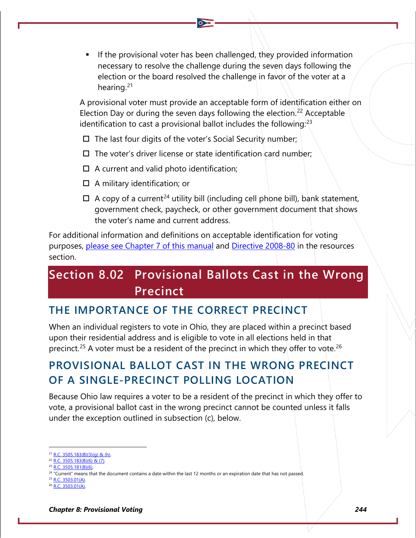If the provisional voter has been challenged, they provided information necessary to resolve the challenge during the seven days following the election or the board resolved the challenge in favor of the voter at a hearing.[21](#page-5-0)

A provisional voter must provide an acceptable form of identification either on Election Day or during the seven days following the election.<sup>[22](#page-5-1)</sup> Acceptable identification to cast a provisional ballot includes the following:<sup>[23](#page-5-2)</sup>

- $\square$  The last four digits of the voter's Social Security number;
- $\square$  The voter's driver license or state identification card number;
- $\Box$  A current and valid photo identification;
- $\Box$  A military identification; or
- $\Box$  A copy of a current<sup>[24](#page-5-3)</sup> utility bill (including cell phone bill), bank statement, government check, paycheck, or other government document that shows the voter's name and current address.

For additional information and definitions on acceptable identification for voting purposes, please see Chapter 7 of this manual and [Directive 2008-80](https://www.sos.state.oh.us/globalassets/elections/directives/2008/dir2008-80.pdf) in the resources section.

# **Section 8.02 Provisional Ballots Cast in the Wrong Precinct**

## **THE IMPORTANCE OF THE CORRECT PRECINCT**

When an individual registers to vote in Ohio, they are placed within a precinct based upon their residential address and is eligible to vote in all elections held in that precinct.<sup>[25](#page-5-4)</sup> A voter must be a resident of the precinct in which they offer to vote.<sup>[26](#page-5-5)</sup>

## **PROVISIONAL BALLOT CAST IN THE WRONG PRECINCT OF A SINGLE-PRECINCT POLLING LOCATION**

Because Ohio law requires a voter to be a resident of the precinct in which they offer to vote, a provisional ballot cast in the wrong precinct cannot be counted unless it falls under the exception outlined in subsection (c), below.

<span id="page-5-0"></span>[R.C. 3505.183\(B\)\(3\)\(g\) & \(h\).](http://codes.ohio.gov/orc/3505.183)

<span id="page-5-1"></span><sup>22</sup> [R.C. 3505.183\(B\)\(6\) & \(7\).](http://codes.ohio.gov/orc/3505.183)  $^{23}$  [R.C. 3505.181\(B\)\(6\).](http://codes.ohio.gov/orc/3505.181)

<span id="page-5-3"></span><span id="page-5-2"></span>

<sup>&</sup>lt;sup>24</sup> "Current" means that the document contains a date within the last 12 months or an expiration date that has not passed. <sup>25</sup> [R.C. 3503.01\(A\).](http://codes.ohio.gov/orc/3503.01)

<span id="page-5-5"></span><span id="page-5-4"></span><sup>26</sup> [R.C. 3503.01\(A\).](http://codes.ohio.gov/orc/3503.01)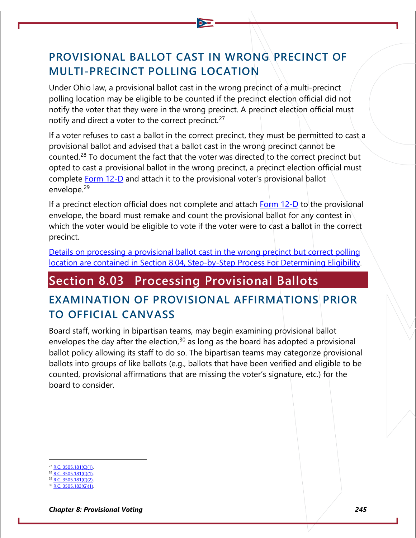# **PROVISIONAL BALLOT CAST IN WRONG PRECINCT OF MULTI-PRECINCT POLLING LOCATION**

Under Ohio law, a provisional ballot cast in the wrong precinct of a multi-precinct polling location may be eligible to be counted if the precinct election official did not notify the voter that they were in the wrong precinct. A precinct election official must notify and direct a voter to the correct precinct.<sup>[27](#page-6-0)</sup>

If a voter refuses to cast a ballot in the correct precinct, they must be permitted to cast a provisional ballot and advised that a ballot cast in the wrong precinct cannot be counted.[28](#page-6-1) To document the fact that the voter was directed to the correct precinct but opted to cast a provisional ballot in the wrong precinct, a precinct election official must complete [Form 12-D](https://www.ohiosos.gov/globalassets/elections/forms/12-D.pdf) and attach it to the provisional voter's provisional ballot envelope.[29](#page-6-2)

If a precinct election official does not complete and attach  $Form 12-D$  to the provisional envelope, the board must remake and count the provisional ballot for any contest in which the voter would be eligible to vote if the voter were to cast a ballot in the correct precinct.

[Details on processing a provisional ballot cast in the wrong precinct but correct polling](#page-7-0)  [location are contained in Section 8.04, Step-by-Step Process For Determining Eligibility.](#page-7-0)

# **Section 8.03 Processing Provisional Ballots**

## **EXAMINATION OF PROVISIONAL AFFIRMATIONS PRIOR TO OFFICIAL CANVASS**

Board staff, working in bipartisan teams, may begin examining provisional ballot envelopes the day after the election,  $30$  as long as the board has adopted a provisional ballot policy allowing its staff to do so. The bipartisan teams may categorize provisional ballots into groups of like ballots (e.g., ballots that have been verified and eligible to be counted, provisional affirmations that are missing the voter's signature, etc.) for the board to consider.

- <span id="page-6-0"></span> $R.C. 3505.181(C)(1).$
- [R.C. 3505.181\(C\)\(1\).](http://codes.ohio.gov/orc/3505.181)

<span id="page-6-2"></span><span id="page-6-1"></span> $\overline{3505.181(C)(2)}$ .  $3505.183(G)(1)$ .

<span id="page-6-3"></span>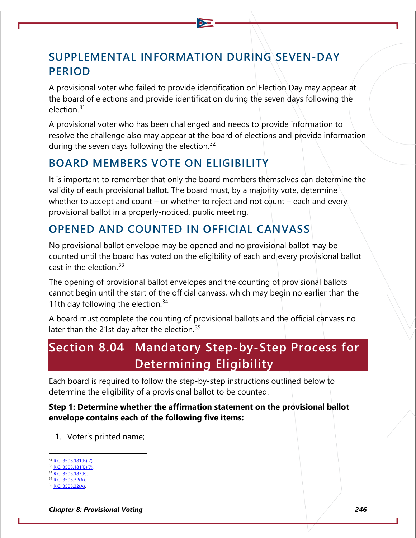## **SUPPLEMENTAL INFORMATION DURING SEVEN-DAY PERIOD**

A provisional voter who failed to provide identification on Election Day may appear at the board of elections and provide identification during the seven days following the election.[31](#page-7-1)

A provisional voter who has been challenged and needs to provide information to resolve the challenge also may appear at the board of elections and provide information during the seven days following the election.<sup>[32](#page-7-2)</sup>

### **BOARD MEMBERS VOTE ON ELIGIBILITY**

It is important to remember that only the board members themselves can determine the validity of each provisional ballot. The board must, by a majority vote, determine whether to accept and count – or whether to reject and not count – each and every provisional ballot in a properly-noticed, public meeting.

## **OPENED AND COUNTED IN OFFICIAL CANVASS**

No provisional ballot envelope may be opened and no provisional ballot may be counted until the board has voted on the eligibility of each and every provisional ballot cast in the election.[33](#page-7-3)

The opening of provisional ballot envelopes and the counting of provisional ballots cannot begin until the start of the official canvass, which may begin no earlier than the 11th day following the election. $34$ 

A board must complete the counting of provisional ballots and the official canvass no later than the 21st day after the election.<sup>[35](#page-7-5)</sup>

# <span id="page-7-0"></span>**Section 8.04 Mandatory Step-by-Step Process for Determining Eligibility**

Each board is required to follow the step-by-step instructions outlined below to determine the eligibility of a provisional ballot to be counted.

#### **Step 1: Determine whether the affirmation statement on the provisional ballot envelope contains each of the following five items:**

1. Voter's printed name;

- <span id="page-7-2"></span><sup>32</sup> [R.C. 3505.181\(B\)\(7\).](http://codes.ohio.gov/orc/3505.181) <sup>33</sup> [R.C. 3505.183\(F\).](http://codes.ohio.gov/orc/3505.183)
- <span id="page-7-4"></span><span id="page-7-3"></span>3505.32(A).
- <span id="page-7-5"></span>3505.32(A).

*Chapter 8: Provisional Voting 246*

<span id="page-7-1"></span><sup>&</sup>lt;sup>1</sup> [R.C. 3505.181\(B\)\(7\).](http://codes.ohio.gov/orc/3505.181)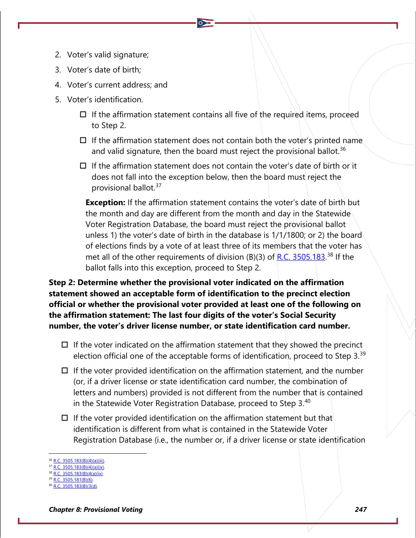- 2. Voter's valid signature;
- 3. Voter's date of birth;
- 4. Voter's current address; and
- 5. Voter's identification.
	- $\Box$  If the affirmation statement contains all five of the required items, proceed to Step 2.
	- $\Box$  If the affirmation statement does not contain both the voter's printed name and valid signature, then the board must reject the provisional ballot.<sup>[36](#page-8-0)</sup>
	- $\Box$  If the affirmation statement does not contain the voter's date of birth or it does not fall into the exception below, then the board must reject the provisional ballot.[37](#page-8-1)

**Exception:** If the affirmation statement contains the voter's date of birth but the month and day are different from the month and day in the Statewide Voter Registration Database, the board must reject the provisional ballot unless 1) the voter's date of birth in the database is 1/1/1800; or 2) the board of elections finds by a vote of at least three of its members that the voter has met all of the other requirements of division (B)(3) of [R.C. 3505.183.](http://codes.ohio.gov/orc/3505.183)<sup>[38](#page-8-2)</sup> If the ballot falls into this exception, proceed to Step 2.

**Step 2: Determine whether the provisional voter indicated on the affirmation statement showed an acceptable form of identification to the precinct election official or whether the provisional voter provided at least one of the following on the affirmation statement: The last four digits of the voter's Social Security number, the voter's driver license number, or state identification card number.**

- $\Box$  If the voter indicated on the affirmation statement that they showed the precinct election official one of the acceptable forms of identification, proceed to Step 3. $39$
- $\Box$  If the voter provided identification on the affirmation statement, and the number (or, if a driver license or state identification card number, the combination of letters and numbers) provided is not different from the number that is contained in the Statewide Voter Registration Database, proceed to Step 3.[40](#page-8-4)
- $\Box$  If the voter provided identification on the affirmation statement but that identification is different from what is contained in the Statewide Voter Registration Database (i.e., the number or, if a driver license or state identification

<span id="page-8-0"></span> $2.3505.183(B)(4)(a)(iii).$ 

<span id="page-8-2"></span><span id="page-8-1"></span> $\overline{BC}$ . 3505.183(B)(4)(a)(ix). <sup>38</sup> [R.C. 3505.183\(B\)\(4\(a\)\(ix\).](http://codes.ohio.gov/orc/3505.183)

 $3505.181(B)(6)$ .

<span id="page-8-4"></span><span id="page-8-3"></span>[R.C. 3505.183\(B\)\(3\(d\).](http://codes.ohio.gov/orc/3505.183)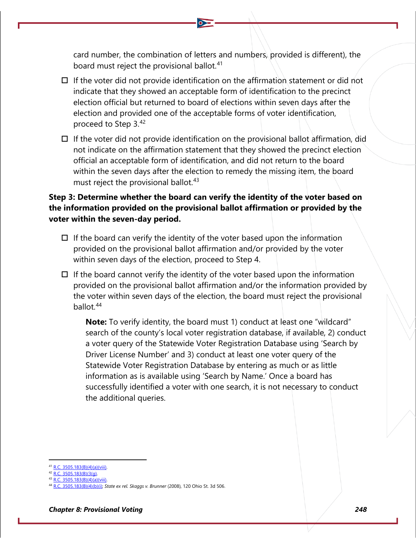card number, the combination of letters and numbers, provided is different), the board must reject the provisional ballot.<sup>[41](#page-9-0)</sup>

- $\Box$  If the voter did not provide identification on the affirmation statement or did not indicate that they showed an acceptable form of identification to the precinct election official but returned to board of elections within seven days after the election and provided one of the acceptable forms of voter identification, proceed to Step 3.[42](#page-9-1)
- $\Box$  If the voter did not provide identification on the provisional ballot affirmation, did not indicate on the affirmation statement that they showed the precinct election official an acceptable form of identification, and did not return to the board within the seven days after the election to remedy the missing item, the board must reject the provisional ballot.<sup>[43](#page-9-2)</sup>

#### **Step 3: Determine whether the board can verify the identity of the voter based on the information provided on the provisional ballot affirmation or provided by the voter within the seven-day period.**

- $\Box$  If the board can verify the identity of the voter based upon the information provided on the provisional ballot affirmation and/or provided by the voter within seven days of the election, proceed to Step 4.
- $\Box$  If the board cannot verify the identity of the voter based upon the information provided on the provisional ballot affirmation and/or the information provided by the voter within seven days of the election, the board must reject the provisional ballot.[44](#page-9-3)

**Note:** To verify identity, the board must 1) conduct at least one "wildcard" search of the county's local voter registration database, if available, 2) conduct a voter query of the Statewide Voter Registration Database using 'Search by Driver License Number' and 3) conduct at least one voter query of the Statewide Voter Registration Database by entering as much or as little information as is available using 'Search by Name.' Once a board has successfully identified a voter with one search, it is not necessary to conduct the additional queries.

<span id="page-9-1"></span><span id="page-9-0"></span><sup>&</sup>lt;sup>1</sup> [R.C. 3505.183\(B\)\(4\)\(a\)\(viii\).](http://codes.ohio.gov/orc/3505.183)

<sup>42</sup> [R.C. 3505.183\(B\)\(3\(g\).](http://codes.ohio.gov/orc/3505.183)

<sup>3505.183(</sup>B)(4)(a)(viii).

<span id="page-9-3"></span><span id="page-9-2"></span><sup>3505.183(</sup>B)(4)(b)(i); *State ex rel. Skaggs v. Brunner* (2008), 120 Ohio St. 3d 506.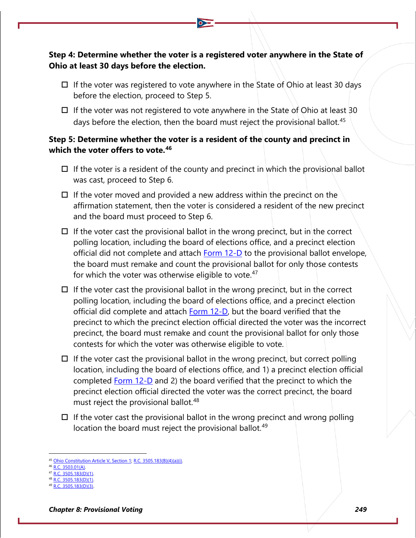#### **Step 4: Determine whether the voter is a registered voter anywhere in the State of Ohio at least 30 days before the election.**

- $\Box$  If the voter was registered to vote anywhere in the State of Ohio at least 30 days before the election, proceed to Step 5.
- $\Box$  If the voter was not registered to vote anywhere in the State of Ohio at least 30 days before the election, then the board must reject the provisional ballot.<sup>[45](#page-10-0)</sup>

#### **Step 5: Determine whether the voter is a resident of the county and precinct in which the voter offers to vote.[46](#page-10-1)**

- $\Box$  If the voter is a resident of the county and precinct in which the provisional ballot was cast, proceed to Step 6.
- $\Box$  If the voter moved and provided a new address within the precinct on the affirmation statement, then the voter is considered a resident of the new precinct and the board must proceed to Step 6.
- $\Box$  If the voter cast the provisional ballot in the wrong precinct, but in the correct polling location, including the board of elections office, and a precinct election official did not complete and attach **Form 12-D** to the provisional ballot envelope, the board must remake and count the provisional ballot for only those contests for which the voter was otherwise eligible to vote.<sup>[47](#page-10-2)</sup>
- $\Box$  If the voter cast the provisional ballot in the wrong precinct, but in the correct polling location, including the board of elections office, and a precinct election official did complete and attach [Form 12-D,](https://www.ohiosos.gov/globalassets/elections/forms/12-D.pdf) but the board verified that the precinct to which the precinct election official directed the voter was the incorrect precinct, the board must remake and count the provisional ballot for only those contests for which the voter was otherwise eligible to vote.
- $\Box$  If the voter cast the provisional ballot in the wrong precinct, but correct polling location, including the board of elections office, and 1) a precinct election official completed **Form 12-D** and 2) the board verified that the precinct to which the precinct election official directed the voter was the correct precinct, the board must reject the provisional ballot.<sup>[48](#page-10-3)</sup>
- $\Box$  If the voter cast the provisional ballot in the wrong precinct and wrong polling location the board must reject the provisional ballot.<sup>[49](#page-10-4)</sup>

<span id="page-10-0"></span>[Ohio Constitution Article V, Section 1;](https://www.legislature.ohio.gov/laws/ohio-constitution/section?const=5.01) [R.C. 3505.183\(B\)\(4\)\(a\)\(i\).](http://codes.ohio.gov/orc/3505.183)

<span id="page-10-2"></span><span id="page-10-1"></span>[R.C. 3503.01\(A\).](http://codes.ohio.gov/orc/3503.01)

[R.C. 3505.183\(D\)\(1\).](http://codes.ohio.gov/orc/3505.183)  $\overline{3505.183(D)(1)}$ .

<span id="page-10-4"></span><span id="page-10-3"></span><sup>3505.183(</sup>D)(3).

*Chapter 8: Provisional Voting 249*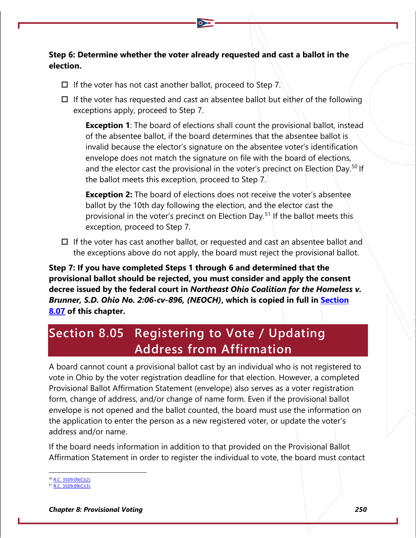#### **Step 6: Determine whether the voter already requested and cast a ballot in the election.**

- $\Box$  If the voter has not cast another ballot, proceed to Step 7.
- $\Box$  If the voter has requested and cast an absentee ballot but either of the following exceptions apply, proceed to Step 7.

**Exception 1**: The board of elections shall count the provisional ballot, instead of the absentee ballot, if the board determines that the absentee ballot is invalid because the elector's signature on the absentee voter's identification envelope does not match the signature on file with the board of elections, and the elector cast the provisional in the voter's precinct on Election Day.<sup>[50](#page-11-0)</sup> If the ballot meets this exception, proceed to Step 7.

**Exception 2:** The board of elections does not receive the voter's absentee ballot by the 10th day following the election, and the elector cast the provisional in the voter's precinct on Election Day.<sup>[51](#page-11-1)</sup> If the ballot meets this exception, proceed to Step 7.

 $\Box$  If the voter has cast another ballot, or requested and cast an absentee ballot and the exceptions above do not apply, the board must reject the provisional ballot.

**Step 7: If you have completed Steps 1 through 6 and determined that the provisional ballot should be rejected, you must consider and apply the consent decree issued by the federal court in** *Northeast Ohio Coalition for the Homeless v. Brunner, S.D. Ohio No. 2:06-cv-896, (NEOCH)***, which is copied in full in [Section](#page-16-0)  [8.07](#page-16-0) of this chapter.** 

# **Section 8.05 Registering to Vote / Updating Address from Affirmation**

A board cannot count a provisional ballot cast by an individual who is not registered to vote in Ohio by the voter registration deadline for that election. However, a completed Provisional Ballot Affirmation Statement (envelope) also serves as a voter registration form, change of address, and/or change of name form. Even if the provisional ballot envelope is not opened and the ballot counted, the board must use the information on the application to enter the person as a new registered voter, or update the voter's address and/or name.

If the board needs information in addition to that provided on the Provisional Ballot Affirmation Statement in order to register the individual to vote, the board must contact

<span id="page-11-0"></span> $^{50}$  [R.C. 3509.09\(C\)\(2\).](http://codes.ohio.gov/orc/3509.09)

<span id="page-11-1"></span><sup>51</sup> [R.C. 3509.09\(C\)\(3\).](http://codes.ohio.gov/orc/3509.09)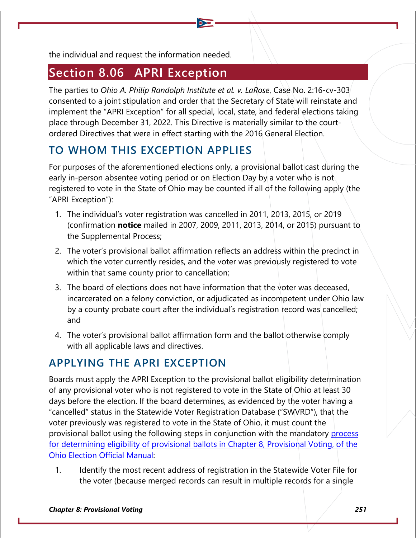the individual and request the information needed.

# **Section 8.06 APRI Exception**

The parties to *Ohio A. Philip Randolph Institute et al. v. LaRose*, Case No. 2:16-cv-303 consented to a joint stipulation and order that the Secretary of State will reinstate and implement the "APRI Exception" for all special, local, state, and federal elections taking place through December 31, 2022. This Directive is materially similar to the courtordered Directives that were in effect starting with the 2016 General Election.

# **TO WHOM THIS EXCEPTION APPLIES**

For purposes of the aforementioned elections only, a provisional ballot cast during the early in-person absentee voting period or on Election Day by a voter who is not registered to vote in the State of Ohio may be counted if all of the following apply (the "APRI Exception"):

- 1. The individual's voter registration was cancelled in 2011, 2013, 2015, or 2019 (confirmation **notice** mailed in 2007, 2009, 2011, 2013, 2014, or 2015) pursuant to the Supplemental Process;
- 2. The voter's provisional ballot affirmation reflects an address within the precinct in which the voter currently resides, and the voter was previously registered to vote within that same county prior to cancellation;
- 3. The board of elections does not have information that the voter was deceased, incarcerated on a felony conviction, or adjudicated as incompetent under Ohio law by a county probate court after the individual's registration record was cancelled; and
- 4. The voter's provisional ballot affirmation form and the ballot otherwise comply with all applicable laws and directives.

## **APPLYING THE APRI EXCEPTION**

Boards must apply the APRI Exception to the provisional ballot eligibility determination of any provisional voter who is not registered to vote in the State of Ohio at least 30 days before the election. If the board determines, as evidenced by the voter having a "cancelled" status in the Statewide Voter Registration Database ("SWVRD"), that the voter previously was registered to vote in the State of Ohio, it must count the provisional ballot using the following steps in conjunction with the mandatory [process](#page-7-0)  for determining eligibility of provisional ballots in Chapter 8, Provisional Voting, of the [Ohio Election Official Manual:](#page-7-0)

1. Identify the most recent address of registration in the Statewide Voter File for the voter (because merged records can result in multiple records for a single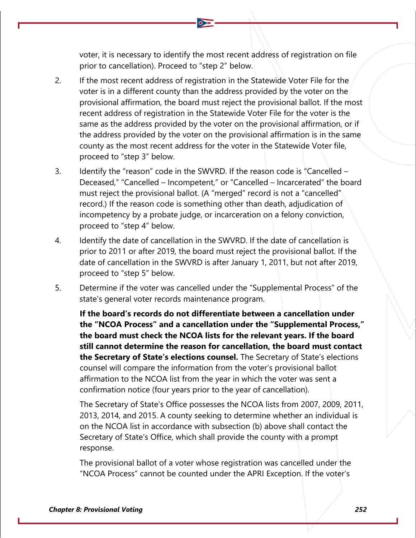voter, it is necessary to identify the most recent address of registration on file prior to cancellation). Proceed to "step 2" below.

- 2. If the most recent address of registration in the Statewide Voter File for the voter is in a different county than the address provided by the voter on the provisional affirmation, the board must reject the provisional ballot. If the most recent address of registration in the Statewide Voter File for the voter is the same as the address provided by the voter on the provisional affirmation, or if the address provided by the voter on the provisional affirmation is in the same county as the most recent address for the voter in the Statewide Voter file, proceed to "step 3" below.
- 3. Identify the "reason" code in the SWVRD. If the reason code is "Cancelled Deceased," "Cancelled – Incompetent," or "Cancelled – Incarcerated" the board must reject the provisional ballot. (A "merged" record is not a "cancelled" record.) If the reason code is something other than death, adjudication of incompetency by a probate judge, or incarceration on a felony conviction, proceed to "step 4" below.
- 4. Identify the date of cancellation in the SWVRD. If the date of cancellation is prior to 2011 or after 2019, the board must reject the provisional ballot. If the date of cancellation in the SWVRD is after January 1, 2011, but not after 2019, proceed to "step 5" below.
- 5. Determine if the voter was cancelled under the "Supplemental Process" of the state's general voter records maintenance program.

**If the board's records do not differentiate between a cancellation under the "NCOA Process" and a cancellation under the "Supplemental Process," the board must check the NCOA lists for the relevant years. If the board still cannot determine the reason for cancellation, the board must contact the Secretary of State's elections counsel.** The Secretary of State's elections counsel will compare the information from the voter's provisional ballot affirmation to the NCOA list from the year in which the voter was sent a confirmation notice (four years prior to the year of cancellation).

The Secretary of State's Office possesses the NCOA lists from 2007, 2009, 2011, 2013, 2014, and 2015. A county seeking to determine whether an individual is on the NCOA list in accordance with subsection (b) above shall contact the Secretary of State's Office, which shall provide the county with a prompt response.

The provisional ballot of a voter whose registration was cancelled under the "NCOA Process" cannot be counted under the APRI Exception. If the voter's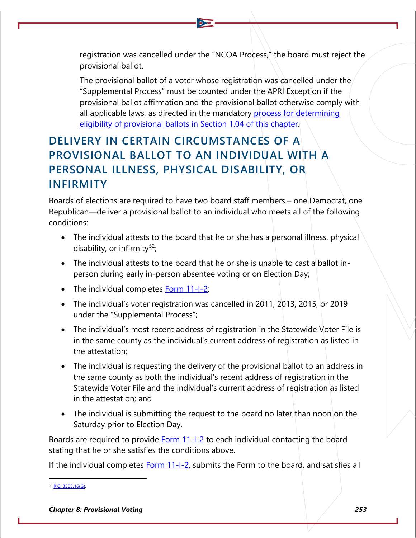registration was cancelled under the "NCOA Process," the board must reject the provisional ballot.

The provisional ballot of a voter whose registration was cancelled under the "Supplemental Process" must be counted under the APRI Exception if the provisional ballot affirmation and the provisional ballot otherwise comply with all applicable laws, as directed in the mandatory [process for determining](#page-7-0)  [eligibility of provisional ballots in Section 1.04 of this chapter.](#page-7-0)

# **DELIVERY IN CERTAIN CIRCUMSTANCES OF A PROVISIONAL BALLOT TO AN INDIVIDUAL WITH A PERSONAL ILLNESS, PHYSICAL DISABILITY, OR INFIRMITY**

Boards of elections are required to have two board staff members – one Democrat, one Republican—deliver a provisional ballot to an individual who meets all of the following conditions:

- The individual attests to the board that he or she has a personal illness, physical disability, or infirmity<sup>[52](#page-14-0)</sup>;
- The individual attests to the board that he or she is unable to cast a ballot inperson during early in-person absentee voting or on Election Day;
- The individual completes **Form 11-I-2**;
- The individual's voter registration was cancelled in 2011, 2013, 2015, or 2019 under the "Supplemental Process";
- The individual's most recent address of registration in the Statewide Voter File is in the same county as the individual's current address of registration as listed in the attestation;
- The individual is requesting the delivery of the provisional ballot to an address in the same county as both the individual's recent address of registration in the Statewide Voter File and the individual's current address of registration as listed in the attestation; and
- The individual is submitting the request to the board no later than noon on the Saturday prior to Election Day.

Boards are required to provide Form 11-1-2 to each individual contacting the board stating that he or she satisfies the conditions above.

If the individual completes **Form 11-I-2**, submits the Form to the board, and satisfies all

<span id="page-14-0"></span> $52$  [R.C. 3503.16\(G\).](http://codes.ohio.gov/orc/3503.16)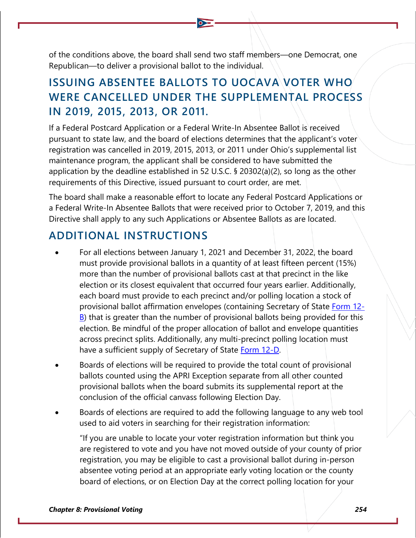of the conditions above, the board shall send two staff members—one Democrat, one Republican—to deliver a provisional ballot to the individual.

### **ISSUING ABSENTEE BALLOTS TO UOCAVA VOTER WHO WERE CANCELLED UNDER THE SUPPLEMENTAL PROCESS IN 2019, 2015, 2013, OR 2011.**

If a Federal Postcard Application or a Federal Write-In Absentee Ballot is received pursuant to state law, and the board of elections determines that the applicant's voter registration was cancelled in 2019, 2015, 2013, or 2011 under Ohio's supplemental list maintenance program, the applicant shall be considered to have submitted the application by the deadline established in 52 U.S.C. § 20302(a)(2), so long as the other requirements of this Directive, issued pursuant to court order, are met.

The board shall make a reasonable effort to locate any Federal Postcard Applications or a Federal Write-In Absentee Ballots that were received prior to October 7, 2019, and this Directive shall apply to any such Applications or Absentee Ballots as are located.

### **ADDITIONAL INSTRUCTIONS**

- For all elections between January 1, 2021 and December 31, 2022, the board must provide provisional ballots in a quantity of at least fifteen percent (15%) more than the number of provisional ballots cast at that precinct in the like election or its closest equivalent that occurred four years earlier. Additionally, each board must provide to each precinct and/or polling location a stock of provisional ballot affirmation envelopes (containing Secretary of State [Form 12-](https://www.ohiosos.gov/globalassets/elections/forms/12-b_english.pdf) [B\)](https://www.ohiosos.gov/globalassets/elections/forms/12-b_english.pdf) that is greater than the number of provisional ballots being provided for this election. Be mindful of the proper allocation of ballot and envelope quantities across precinct splits. Additionally, any multi-precinct polling location must have a sufficient supply of Secretary of State [Form 12-D.](https://www.ohiosos.gov/globalassets/elections/forms/12-d.pdf)
- Boards of elections will be required to provide the total count of provisional ballots counted using the APRI Exception separate from all other counted provisional ballots when the board submits its supplemental report at the conclusion of the official canvass following Election Day.
- Boards of elections are required to add the following language to any web tool used to aid voters in searching for their registration information:

"If you are unable to locate your voter registration information but think you are registered to vote and you have not moved outside of your county of prior registration, you may be eligible to cast a provisional ballot during in-person absentee voting period at an appropriate early voting location or the county board of elections, or on Election Day at the correct polling location for your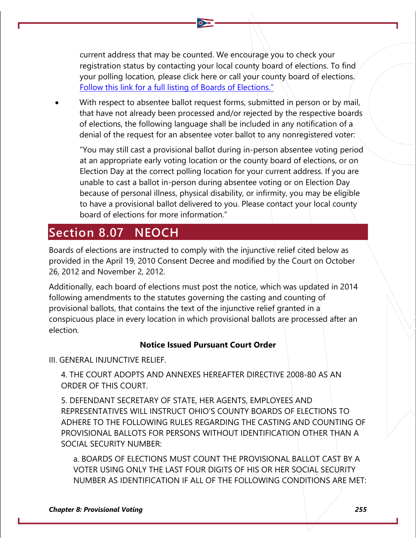current address that may be counted. We encourage you to check your registration status by contacting your local county board of elections. To find your polling location, please click here or call your county board of elections. Follow this link [for a full listing of Boards of Elections."](https://www.ohiosos.gov/elections/elections-officials/county-boards-of-elections-directory/)

With respect to absentee ballot request forms, submitted in person or by mail, that have not already been processed and/or rejected by the respective boards of elections, the following language shall be included in any notification of a denial of the request for an absentee voter ballot to any nonregistered voter:

"You may still cast a provisional ballot during in-person absentee voting period at an appropriate early voting location or the county board of elections, or on Election Day at the correct polling location for your current address. If you are unable to cast a ballot in-person during absentee voting or on Election Day because of personal illness, physical disability, or infirmity, you may be eligible to have a provisional ballot delivered to you. Please contact your local county board of elections for more information."

# <span id="page-16-0"></span>**Section 8.07 NEOCH**

Boards of elections are instructed to comply with the injunctive relief cited below as provided in the April 19, 2010 Consent Decree and modified by the Court on October 26, 2012 and November 2, 2012.

Additionally, each board of elections must post the notice, which was updated in 2014 following amendments to the statutes governing the casting and counting of provisional ballots, that contains the text of the injunctive relief granted in a conspicuous place in every location in which provisional ballots are processed after an election.

#### **Notice Issued Pursuant Court Order**

III. GENERAL INJUNCTIVE RELIEF.

4. THE COURT ADOPTS AND ANNEXES HEREAFTER DIRECTIVE 2008-80 AS AN ORDER OF THIS COURT.

5. DEFENDANT SECRETARY OF STATE, HER AGENTS, EMPLOYEES AND REPRESENTATIVES WILL INSTRUCT OHIO'S COUNTY BOARDS OF ELECTIONS TO ADHERE TO THE FOLLOWING RULES REGARDING THE CASTING AND COUNTING OF PROVISIONAL BALLOTS FOR PERSONS WITHOUT IDENTIFICATION OTHER THAN A SOCIAL SECURITY NUMBER:

a. BOARDS OF ELECTIONS MUST COUNT THE PROVISIONAL BALLOT CAST BY A VOTER USING ONLY THE LAST FOUR DIGITS OF HIS OR HER SOCIAL SECURITY NUMBER AS IDENTIFICATION IF ALL OF THE FOLLOWING CONDITIONS ARE MET: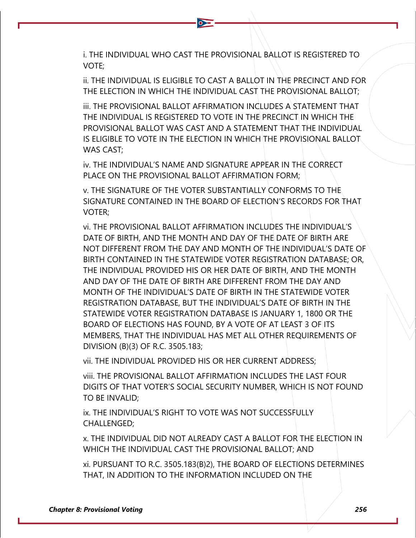i. THE INDIVIDUAL WHO CAST THE PROVISIONAL BALLOT IS REGISTERED TO VOTE;

 $\bullet$ 

ii. THE INDIVIDUAL IS ELIGIBLE TO CAST A BALLOT IN THE PRECINCT AND FOR THE ELECTION IN WHICH THE INDIVIDUAL CAST THE PROVISIONAL BALLOT;

iii. THE PROVISIONAL BALLOT AFFIRMATION INCLUDES A STATEMENT THAT THE INDIVIDUAL IS REGISTERED TO VOTE IN THE PRECINCT IN WHICH THE PROVISIONAL BALLOT WAS CAST AND A STATEMENT THAT THE INDIVIDUAL IS ELIGIBLE TO VOTE IN THE ELECTION IN WHICH THE PROVISIONAL BALLOT WAS CAST;

iv. THE INDIVIDUAL'S NAME AND SIGNATURE APPEAR IN THE CORRECT PLACE ON THE PROVISIONAL BALLOT AFFIRMATION FORM;

v. THE SIGNATURE OF THE VOTER SUBSTANTIALLY CONFORMS TO THE SIGNATURE CONTAINED IN THE BOARD OF ELECTION'S RECORDS FOR THAT VOTER;

vi. THE PROVISIONAL BALLOT AFFIRMATION INCLUDES THE INDIVIDUAL'S DATE OF BIRTH, AND THE MONTH AND DAY OF THE DATE OF BIRTH ARE NOT DIFFERENT FROM THE DAY AND MONTH OF THE INDIVIDUAL'S DATE OF BIRTH CONTAINED IN THE STATEWIDE VOTER REGISTRATION DATABASE; OR, THE INDIVIDUAL PROVIDED HIS OR HER DATE OF BIRTH, AND THE MONTH AND DAY OF THE DATE OF BIRTH ARE DIFFERENT FROM THE DAY AND MONTH OF THE INDIVIDUAL'S DATE OF BIRTH IN THE STATEWIDE VOTER REGISTRATION DATABASE, BUT THE INDIVIDUAL'S DATE OF BIRTH IN THE STATEWIDE VOTER REGISTRATION DATABASE IS JANUARY 1, 1800 OR THE BOARD OF ELECTIONS HAS FOUND, BY A VOTE OF AT LEAST 3 OF ITS MEMBERS, THAT THE INDIVIDUAL HAS MET ALL OTHER REQUIREMENTS OF DIVISION (B)(3) OF R.C. 3505.183;

vii. THE INDIVIDUAL PROVIDED HIS OR HER CURRENT ADDRESS;

viii. THE PROVISIONAL BALLOT AFFIRMATION INCLUDES THE LAST FOUR DIGITS OF THAT VOTER'S SOCIAL SECURITY NUMBER, WHICH IS NOT FOUND TO BE INVALID;

ix. THE INDIVIDUAL'S RIGHT TO VOTE WAS NOT SUCCESSFULLY CHALLENGED;

x. THE INDIVIDUAL DID NOT ALREADY CAST A BALLOT FOR THE ELECTION IN WHICH THE INDIVIDUAL CAST THE PROVISIONAL BALLOT; AND

xi. PURSUANT TO R.C. 3505.183(B)2), THE BOARD OF ELECTIONS DETERMINES THAT, IN ADDITION TO THE INFORMATION INCLUDED ON THE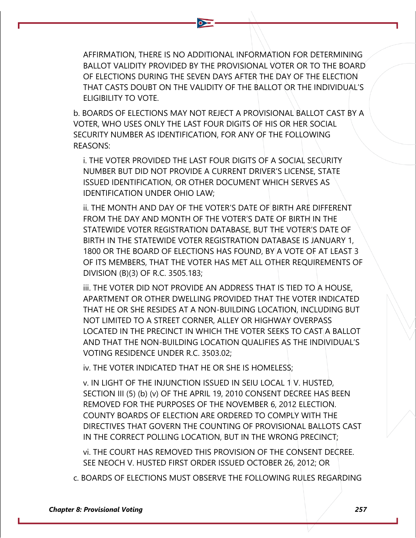AFFIRMATION, THERE IS NO ADDITIONAL INFORMATION FOR DETERMINING BALLOT VALIDITY PROVIDED BY THE PROVISIONAL VOTER OR TO THE BOARD OF ELECTIONS DURING THE SEVEN DAYS AFTER THE DAY OF THE ELECTION THAT CASTS DOUBT ON THE VALIDITY OF THE BALLOT OR THE INDIVIDUAL'S ELIGIBILITY TO VOTE.

 $\bullet$ 

b. BOARDS OF ELECTIONS MAY NOT REJECT A PROVISIONAL BALLOT CAST BY A VOTER, WHO USES ONLY THE LAST FOUR DIGITS OF HIS OR HER SOCIAL SECURITY NUMBER AS IDENTIFICATION, FOR ANY OF THE FOLLOWING REASONS:

i. THE VOTER PROVIDED THE LAST FOUR DIGITS OF A SOCIAL SECURITY NUMBER BUT DID NOT PROVIDE A CURRENT DRIVER'S LICENSE, STATE ISSUED IDENTIFICATION, OR OTHER DOCUMENT WHICH SERVES AS IDENTIFICATION UNDER OHIO LAW;

ii. THE MONTH AND DAY OF THE VOTER'S DATE OF BIRTH ARE DIFFERENT FROM THE DAY AND MONTH OF THE VOTER'S DATE OF BIRTH IN THE STATEWIDE VOTER REGISTRATION DATABASE, BUT THE VOTER'S DATE OF BIRTH IN THE STATEWIDE VOTER REGISTRATION DATABASE IS JANUARY 1, 1800 OR THE BOARD OF ELECTIONS HAS FOUND, BY A VOTE OF AT LEAST 3 OF ITS MEMBERS, THAT THE VOTER HAS MET ALL OTHER REQUIREMENTS OF DIVISION (B)(3) OF R.C. 3505.183;

iii. THE VOTER DID NOT PROVIDE AN ADDRESS THAT IS TIED TO A HOUSE, APARTMENT OR OTHER DWELLING PROVIDED THAT THE VOTER INDICATED THAT HE OR SHE RESIDES AT A NON-BUILDING LOCATION, INCLUDING BUT NOT LIMITED TO A STREET CORNER, ALLEY OR HIGHWAY OVERPASS LOCATED IN THE PRECINCT IN WHICH THE VOTER SEEKS TO CAST A BALLOT AND THAT THE NON-BUILDING LOCATION QUALIFIES AS THE INDIVIDUAL'S VOTING RESIDENCE UNDER R.C. 3503.02;

iv. THE VOTER INDICATED THAT HE OR SHE IS HOMELESS;

v. IN LIGHT OF THE INJUNCTION ISSUED IN SEIU LOCAL 1 V. HUSTED, SECTION III (5) (b) (v) OF THE APRIL 19, 2010 CONSENT DECREE HAS BEEN REMOVED FOR THE PURPOSES OF THE NOVEMBER 6, 2012 ELECTION. COUNTY BOARDS OF ELECTION ARE ORDERED TO COMPLY WITH THE DIRECTIVES THAT GOVERN THE COUNTING OF PROVISIONAL BALLOTS CAST IN THE CORRECT POLLING LOCATION, BUT IN THE WRONG PRECINCT;

vi. THE COURT HAS REMOVED THIS PROVISION OF THE CONSENT DECREE. SEE NEOCH V. HUSTED FIRST ORDER ISSUED OCTOBER 26, 2012; OR

c. BOARDS OF ELECTIONS MUST OBSERVE THE FOLLOWING RULES REGARDING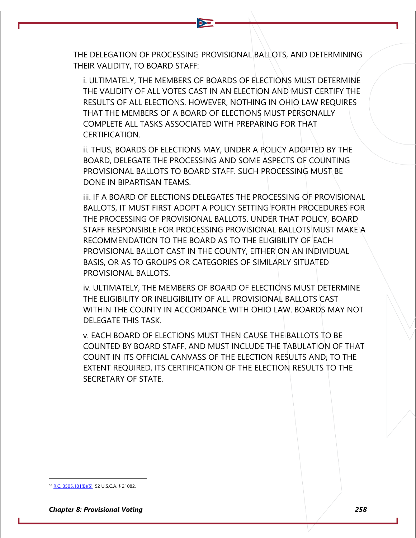THE DELEGATION OF PROCESSING PROVISIONAL BALLOTS, AND DETERMINING THEIR VALIDITY, TO BOARD STAFF:

i. ULTIMATELY, THE MEMBERS OF BOARDS OF ELECTIONS MUST DETERMINE THE VALIDITY OF ALL VOTES CAST IN AN ELECTION AND MUST CERTIFY THE RESULTS OF ALL ELECTIONS. HOWEVER, NOTHING IN OHIO LAW REQUIRES THAT THE MEMBERS OF A BOARD OF ELECTIONS MUST PERSONALLY COMPLETE ALL TASKS ASSOCIATED WITH PREPARING FOR THAT CERTIFICATION.

ii. THUS, BOARDS OF ELECTIONS MAY, UNDER A POLICY ADOPTED BY THE BOARD, DELEGATE THE PROCESSING AND SOME ASPECTS OF COUNTING PROVISIONAL BALLOTS TO BOARD STAFF. SUCH PROCESSING MUST BE DONE IN BIPARTISAN TEAMS.

iii. IF A BOARD OF ELECTIONS DELEGATES THE PROCESSING OF PROVISIONAL BALLOTS, IT MUST FIRST ADOPT A POLICY SETTING FORTH PROCEDURES FOR THE PROCESSING OF PROVISIONAL BALLOTS. UNDER THAT POLICY, BOARD STAFF RESPONSIBLE FOR PROCESSING PROVISIONAL BALLOTS MUST MAKE A RECOMMENDATION TO THE BOARD AS TO THE ELIGIBILITY OF EACH PROVISIONAL BALLOT CAST IN THE COUNTY, EITHER ON AN INDIVIDUAL BASIS, OR AS TO GROUPS OR CATEGORIES OF SIMILARLY SITUATED PROVISIONAL BALLOTS.

iv. ULTIMATELY, THE MEMBERS OF BOARD OF ELECTIONS MUST DETERMINE THE ELIGIBILITY OR INELIGIBILITY OF ALL PROVISIONAL BALLOTS CAST WITHIN THE COUNTY IN ACCORDANCE WITH OHIO LAW. BOARDS MAY NOT DELEGATE THIS TASK.

v. EACH BOARD OF ELECTIONS MUST THEN CAUSE THE BALLOTS TO BE COUNTED BY BOARD STAFF, AND MUST INCLUDE THE TABULATION OF THAT COUNT IN ITS OFFICIAL CANVASS OF THE ELECTION RESULTS AND, TO THE EXTENT REQUIRED, ITS CERTIFICATION OF THE ELECTION RESULTS TO THE SECRETARY OF STATE.

<sup>&</sup>lt;sup>3</sup> [R.C. 3505.181\(B\)\(5\);](http://codes.ohio.gov/orc/3505.181) 52 U.S.C.A. § 21082.